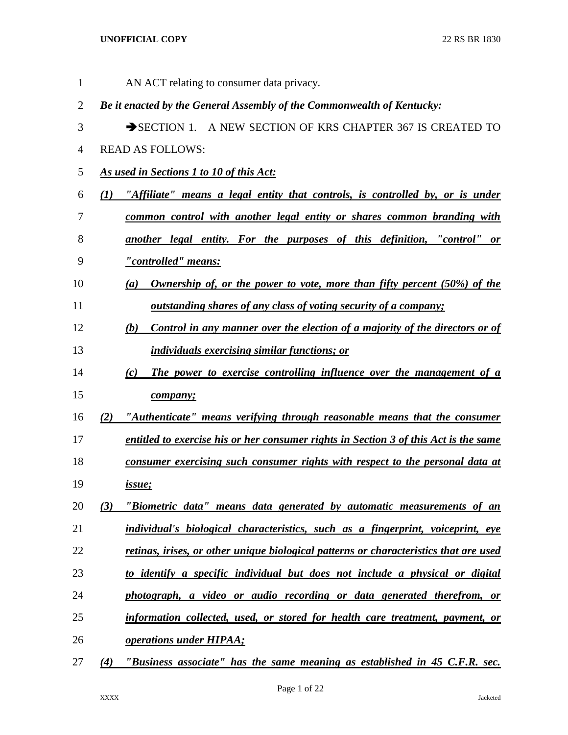| 1              |     | AN ACT relating to consumer data privacy.                                              |
|----------------|-----|----------------------------------------------------------------------------------------|
| $\overline{2}$ |     | Be it enacted by the General Assembly of the Commonwealth of Kentucky:                 |
| 3              |     | SECTION 1. A NEW SECTION OF KRS CHAPTER 367 IS CREATED TO                              |
| $\overline{4}$ |     | <b>READ AS FOLLOWS:</b>                                                                |
| 5              |     | As used in Sections 1 to 10 of this Act:                                               |
| 6              | (I) | "Affiliate" means a legal entity that controls, is controlled by, or is under          |
| $\overline{7}$ |     | common control with another legal entity or shares common branding with                |
| 8              |     | another legal entity. For the purposes of this definition, "control" or                |
| 9              |     | <u>"controlled" means:</u>                                                             |
| 10             |     | <b>Ownership of, or the power to vote, more than fifty percent (50%) of the</b><br>(a) |
| 11             |     | <u>outstanding shares of any class of voting security of a company;</u>                |
| 12             |     | Control in any manner over the election of a majority of the directors or of<br>(b)    |
| 13             |     | individuals exercising similar functions; or                                           |
| 14             |     | The power to exercise controlling influence over the management of a<br>(c)            |
| 15             |     | company;                                                                               |
| 16             | (2) | "Authenticate" means verifying through reasonable means that the consumer              |
| 17             |     | entitled to exercise his or her consumer rights in Section 3 of this Act is the same   |
| 18             |     | consumer exercising such consumer rights with respect to the personal data at          |
| 19             |     | <i>issue</i> ;                                                                         |
| 20             | (3) | "Biometric data" means data generated by automatic measurements of an                  |
| 21             |     | individual's biological characteristics, such as a fingerprint, voiceprint, eye        |
| 22             |     | retinas, irises, or other unique biological patterns or characteristics that are used  |
| 23             |     | to identify a specific individual but does not include a physical or digital           |
| 24             |     | photograph, a video or audio recording or data generated therefrom, or                 |
| 25             |     | information collected, used, or stored for health care treatment, payment, or          |
| 26             |     | <b>operations under HIPAA;</b>                                                         |
| 27             | (4) | "Business associate" has the same meaning as established in 45 C.F.R. sec.             |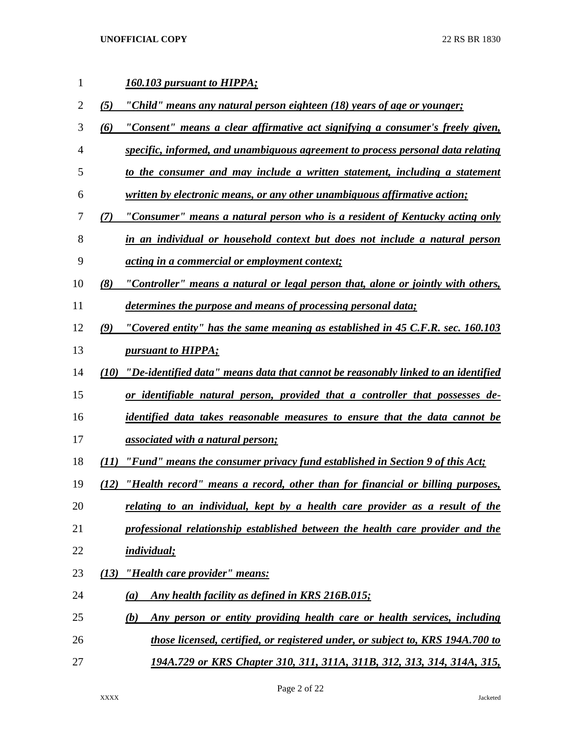| 1              |      | <b>160.103 pursuant to HIPPA;</b>                                                      |
|----------------|------|----------------------------------------------------------------------------------------|
| $\overline{2}$ | (5)  | "Child" means any natural person eighteen (18) years of age or younger;                |
| 3              | (6)  | "Consent" means a clear affirmative act signifying a consumer's freely given,          |
| 4              |      | specific, informed, and unambiguous agreement to process personal data relating        |
| 5              |      | to the consumer and may include a written statement, including a statement             |
| 6              |      | written by electronic means, or any other unambiguous affirmative action;              |
| 7              | (7)  | "Consumer" means a natural person who is a resident of Kentucky acting only            |
| 8              |      | in an individual or household context but does not include a natural person            |
| 9              |      | <i>acting in a commercial or employment context;</i>                                   |
| 10             | (8)  | "Controller" means a natural or legal person that, alone or jointly with others,       |
| 11             |      | determines the purpose and means of processing personal data;                          |
| 12             | (9)  | "Covered entity" has the same meaning as established in 45 C.F.R. sec. 160.103         |
| 13             |      | <i>pursuant to HIPPA;</i>                                                              |
| 14             |      | (10) "De-identified data" means data that cannot be reasonably linked to an identified |
| 15             |      | or identifiable natural person, provided that a controller that possesses de-          |
| 16             |      | <i>identified data takes reasonable measures to ensure that the data cannot be</i>     |
| 17             |      | <i>associated with a natural person;</i>                                               |
| 18             | (11) | "Fund" means the consumer privacy fund established in Section 9 of this Act;           |
| 19             |      | (12) "Health record" means a record, other than for financial or billing purposes,     |
| 20             |      | relating to an individual, kept by a health care provider as a result of the           |
| 21             |      | professional relationship established between the health care provider and the         |
| 22             |      | <i>individual;</i>                                                                     |
| 23             | (13) | "Health care provider" means:                                                          |
| 24             |      | Any health facility as defined in KRS 216B.015;<br>$\left(a\right)$                    |
| 25             |      | Any person or entity providing health care or health services, including<br>(b)        |
| 26             |      | those licensed, certified, or registered under, or subject to, KRS 194A.700 to         |
| 27             |      | 194A.729 or KRS Chapter 310, 311, 311A, 311B, 312, 313, 314, 314A, 315,                |

Page 2 of 22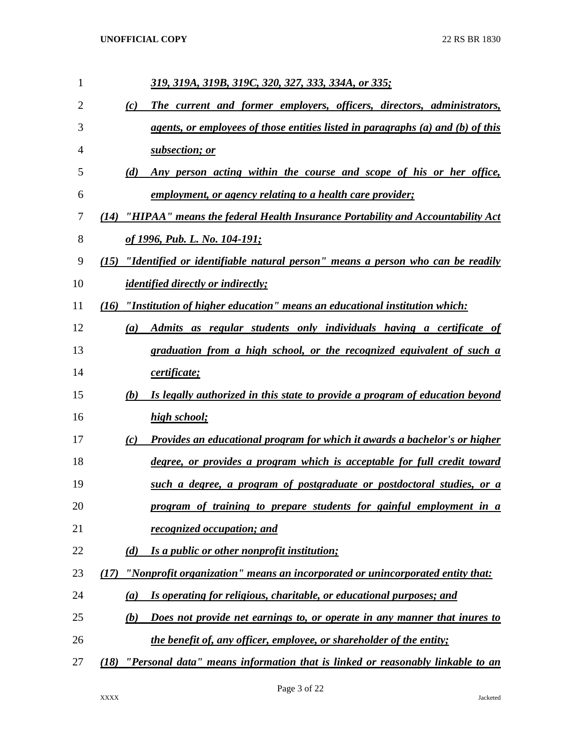| 1  | 319, 319A, 319B, 319C, 320, 327, 333, 334A, or 335;                                     |
|----|-----------------------------------------------------------------------------------------|
| 2  | The current and former employers, officers, directors, administrators,<br>(c)           |
| 3  | agents, or employees of those entities listed in paragraphs (a) and (b) of this         |
| 4  | subsection; or                                                                          |
| 5  | Any person acting within the course and scope of his or her office,<br>(d)              |
| 6  | employment, or agency relating to a health care provider;                               |
| 7  | "HIPAA" means the federal Health Insurance Portability and Accountability Act<br>(14)   |
| 8  | of 1996, Pub. L. No. 104-191;                                                           |
| 9  | (15) "Identified or identifiable natural person" means a person who can be readily      |
| 10 | <i>identified directly or indirectly;</i>                                               |
| 11 | (16) "Institution of higher education" means an educational institution which:          |
| 12 | Admits as regular students only individuals having a certificate of<br>$\left(a\right)$ |
| 13 | graduation from a high school, or the recognized equivalent of such a                   |
| 14 | certificate;                                                                            |
| 15 | Is legally authorized in this state to provide a program of education beyond<br>(b)     |
| 16 | high school;                                                                            |
| 17 | Provides an educational program for which it awards a bachelor's or higher<br>(c)       |
| 18 | degree, or provides a program which is acceptable for full credit toward                |
| 19 | such a degree, a program of postgraduate or postdoctoral studies, or a                  |
| 20 | program of training to prepare students for gainful employment in a                     |
| 21 | recognized occupation; and                                                              |
| 22 | Is a public or other nonprofit institution;<br>(d)                                      |
| 23 | "Nonprofit organization" means an incorporated or unincorporated entity that:<br>(17)   |
| 24 | Is operating for religious, charitable, or educational purposes; and<br>(a)             |
| 25 | Does not provide net earnings to, or operate in any manner that inures to<br>(b)        |
| 26 | the benefit of, any officer, employee, or shareholder of the entity;                    |
| 27 | "Personal data" means information that is linked or reasonably linkable to an<br>(18)   |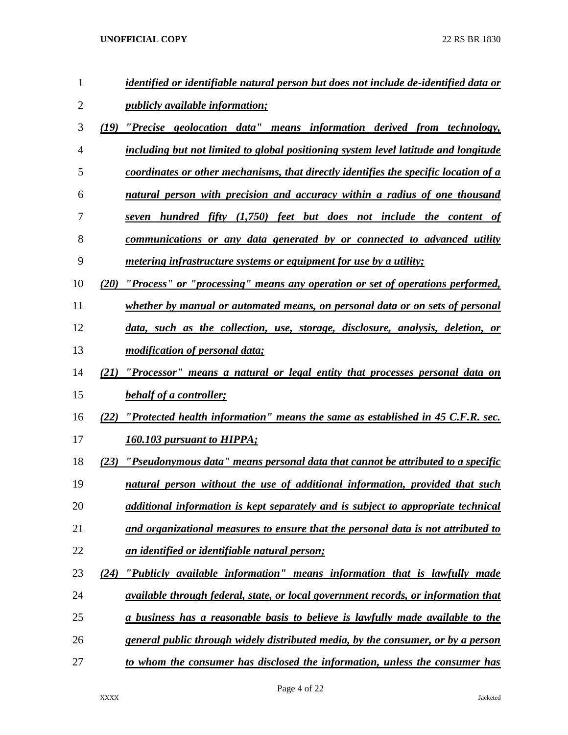| $\mathbf{1}$ | identified or identifiable natural person but does not include de-identified data or      |
|--------------|-------------------------------------------------------------------------------------------|
| 2            | <i>publicly available information;</i>                                                    |
| 3            | "Precise geolocation data" means information derived from technology,<br>(19)             |
| 4            | including but not limited to global positioning system level latitude and longitude       |
| 5            | coordinates or other mechanisms, that directly identifies the specific location of a      |
| 6            | natural person with precision and accuracy within a radius of one thousand                |
| 7            | seven hundred fifty (1,750) feet but does not include the content of                      |
| 8            | communications or any data generated by or connected to advanced utility                  |
| 9            | <i>metering infrastructure systems or equipment for use by a utility;</i>                 |
| 10           | "Process" or "processing" means any operation or set of operations performed,<br>(20)     |
| 11           | whether by manual or automated means, on personal data or on sets of personal             |
| 12           | data, such as the collection, use, storage, disclosure, analysis, deletion, or            |
| 13           | <i>modification of personal data;</i>                                                     |
| 14           | "Processor" means a natural or legal entity that processes personal data on<br>(21)       |
| 15           | <b>behalf of a controller;</b>                                                            |
| 16           | "Protected health information" means the same as established in 45 C.F.R. sec.<br>(22)    |
| 17           | <b>160.103 pursuant to HIPPA;</b>                                                         |
| 18           | "Pseudonymous data" means personal data that cannot be attributed to a specific<br>(23)   |
| 19           | natural person without the use of additional information, provided that such              |
| 20           | additional information is kept separately and is subject to appropriate technical         |
| 21           | and organizational measures to ensure that the personal data is not attributed to         |
| 22           | an identified or identifiable natural person;                                             |
| 23           | "Publicly available information" means information that is lawfully made<br>(24)          |
| 24           | <i>available through federal, state, or local government records, or information that</i> |
| 25           | a business has a reasonable basis to believe is lawfully made available to the            |
| 26           | general public through widely distributed media, by the consumer, or by a person          |
| 27           | to whom the consumer has disclosed the information, unless the consumer has               |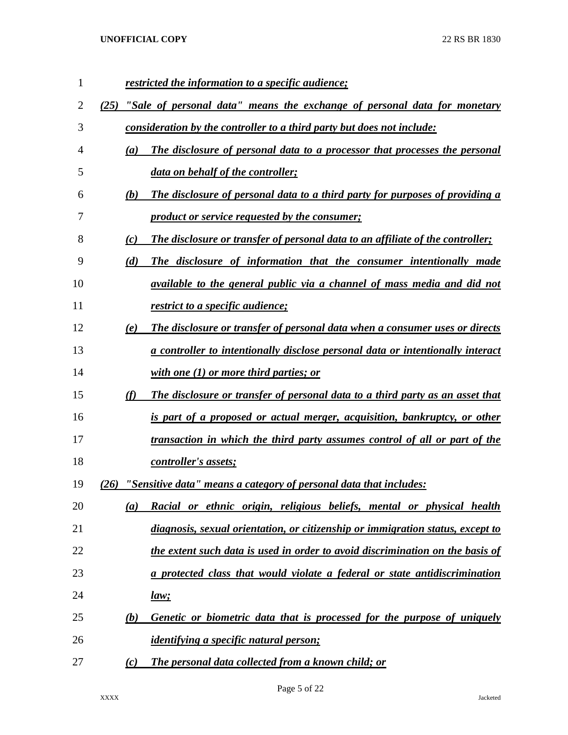| 1  |      | restricted the information to a specific audience;                             |
|----|------|--------------------------------------------------------------------------------|
| 2  | (25) | "Sale of personal data" means the exchange of personal data for monetary       |
| 3  |      | consideration by the controller to a third party but does not include:         |
| 4  | (a)  | The disclosure of personal data to a processor that processes the personal     |
| 5  |      | data on behalf of the controller;                                              |
| 6  | (b)  | The disclosure of personal data to a third party for purposes of providing a   |
| 7  |      | product or service requested by the consumer;                                  |
| 8  | (c)  | The disclosure or transfer of personal data to an affiliate of the controller; |
| 9  | (d)  | The disclosure of information that the consumer intentionally made             |
| 10 |      | available to the general public via a channel of mass media and did not        |
| 11 |      | <i>restrict to a specific audience;</i>                                        |
| 12 | (e)  | The disclosure or transfer of personal data when a consumer uses or directs    |
| 13 |      | a controller to intentionally disclose personal data or intentionally interact |
| 14 |      | with one $(1)$ or more third parties; or                                       |
| 15 | (f)  | The disclosure or transfer of personal data to a third party as an asset that  |
| 16 |      | is part of a proposed or actual merger, acquisition, bankruptcy, or other      |
| 17 |      | transaction in which the third party assumes control of all or part of the     |
| 18 |      | controller's assets;                                                           |
| 19 | (26) | "Sensitive data" means a category of personal data that includes:              |
| 20 | (a)  | Racial or ethnic origin, religious beliefs, mental or physical health          |
| 21 |      | diagnosis, sexual orientation, or citizenship or immigration status, except to |
| 22 |      | the extent such data is used in order to avoid discrimination on the basis of  |
| 23 |      | a protected class that would violate a federal or state antidiscrimination     |
| 24 |      | law;                                                                           |
| 25 | (b)  | Genetic or biometric data that is processed for the purpose of uniquely        |
| 26 |      | <i><u><b>identifying a specific natural person;</b></u></i>                    |
| 27 | (c)  | <b>The personal data collected from a known child; or</b>                      |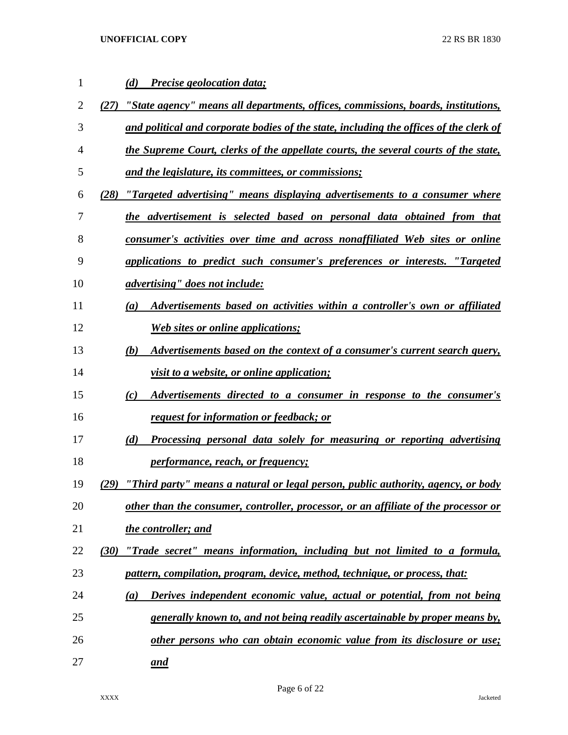| 1  | Precise geolocation data;<br>(d)                                                          |
|----|-------------------------------------------------------------------------------------------|
| 2  | "State agency" means all departments, offices, commissions, boards, institutions,<br>(27) |
| 3  | and political and corporate bodies of the state, including the offices of the clerk of    |
| 4  | the Supreme Court, clerks of the appellate courts, the several courts of the state,       |
| 5  | and the legislature, its committees, or commissions;                                      |
| 6  | "Targeted advertising" means displaying advertisements to a consumer where<br>(28)        |
| 7  | the advertisement is selected based on personal data obtained from that                   |
| 8  | consumer's activities over time and across nonaffiliated Web sites or online              |
| 9  | applications to predict such consumer's preferences or interests. "Targeted               |
| 10 | <i>advertising"</i> does not include:                                                     |
| 11 | Advertisements based on activities within a controller's own or affiliated<br>(a)         |
| 12 | <b>Web sites or online applications;</b>                                                  |
| 13 | Advertisements based on the context of a consumer's current search query,<br>(b)          |
| 14 | <i>visit to a website, or online application;</i>                                         |
| 15 | Advertisements directed to a consumer in response to the consumer's<br>(c)                |
| 16 | <u>request for information or feedback; or</u>                                            |
| 17 | Processing personal data solely for measuring or reporting advertising<br>(d)             |
| 18 | <i>performance, reach, or frequency;</i>                                                  |
| 19 | "Third party" means a natural or legal person, public authority, agency, or body<br>(29)  |
| 20 | other than the consumer, controller, processor, or an affiliate of the processor or       |
| 21 | the controller; and                                                                       |
| 22 | "Trade secret" means information, including but not limited to a formula,<br>(30)         |
| 23 | pattern, compilation, program, device, method, technique, or process, that:               |
| 24 | Derives independent economic value, actual or potential, from not being<br>(a)            |
| 25 | generally known to, and not being readily ascertainable by proper means by,               |
| 26 | other persons who can obtain economic value from its disclosure or use;                   |
| 27 | and                                                                                       |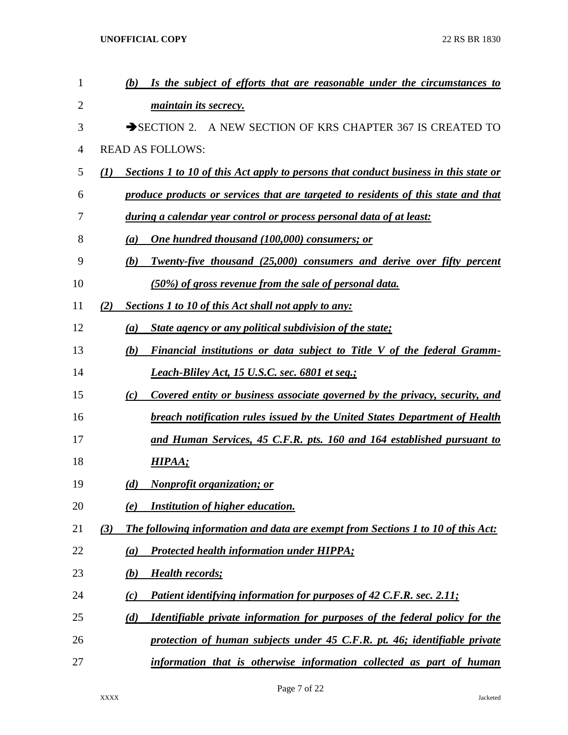| 1              | Is the subject of efforts that are reasonable under the circumstances to<br>(b)                          |
|----------------|----------------------------------------------------------------------------------------------------------|
| $\overline{2}$ | <i>maintain its secrecy.</i>                                                                             |
| 3              | SECTION 2. A NEW SECTION OF KRS CHAPTER 367 IS CREATED TO                                                |
| $\overline{4}$ | <b>READ AS FOLLOWS:</b>                                                                                  |
| 5              | Sections 1 to 10 of this Act apply to persons that conduct business in this state or<br>$\mathcal{L}(I)$ |
| 6              | produce products or services that are targeted to residents of this state and that                       |
| 7              | during a calendar year control or process personal data of at least:                                     |
| 8              | One hundred thousand (100,000) consumers; or<br>(a)                                                      |
| 9              | Twenty-five thousand (25,000) consumers and derive over fifty percent<br>(b)                             |
| 10             | (50%) of gross revenue from the sale of personal data.                                                   |
| 11             | (2)<br>Sections 1 to 10 of this Act shall not apply to any:                                              |
| 12             | <b>State agency or any political subdivision of the state;</b><br>(a)                                    |
| 13             | Financial institutions or data subject to Title V of the federal Gramm-<br>(b)                           |
| 14             | <b>Leach-Bliley Act, 15 U.S.C. sec. 6801 et seq.;</b>                                                    |
| 15             | Covered entity or business associate governed by the privacy, security, and<br>(c)                       |
| 16             | breach notification rules issued by the United States Department of Health                               |
| 17             | and Human Services, 45 C.F.R. pts. 160 and 164 established pursuant to                                   |
| 18             | HIPAA;                                                                                                   |
| 19             | <b>Nonprofit organization; or</b><br>(d)                                                                 |
| 20             | Institution of higher education.<br>(e)                                                                  |
| 21             | The following information and data are exempt from Sections 1 to 10 of this Act:<br>(3)                  |
| 22             | Protected health information under HIPPA;<br>(a)                                                         |
| 23             | <b>Health records;</b><br>(b)                                                                            |
| 24             | Patient identifying information for purposes of 42 C.F.R. sec. 2.11;<br>(c)                              |
| 25             | Identifiable private information for purposes of the federal policy for the<br>(d)                       |
| 26             | protection of human subjects under 45 C.F.R. pt. 46; identifiable private                                |
| 27             | information that is otherwise information collected as part of human                                     |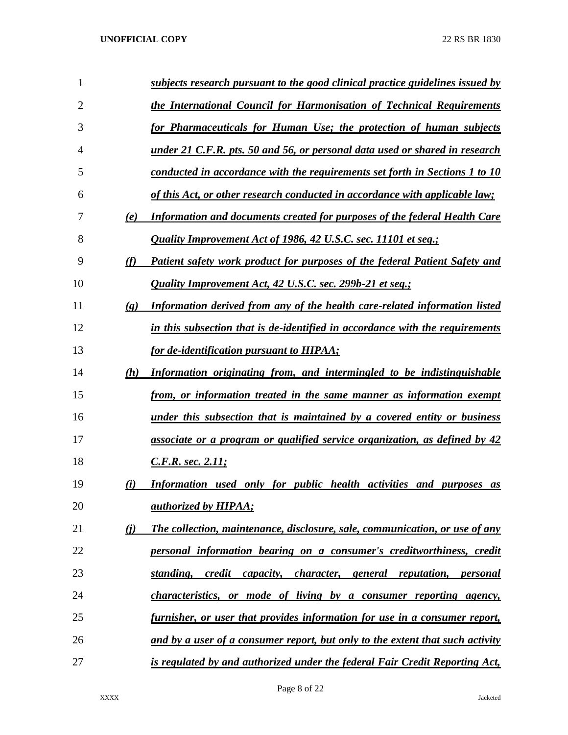| 1              |                             | subjects research pursuant to the good clinical practice guidelines issued by    |
|----------------|-----------------------------|----------------------------------------------------------------------------------|
| $\overline{2}$ |                             | the International Council for Harmonisation of Technical Requirements            |
| 3              |                             | for Pharmaceuticals for Human Use; the protection of human subjects              |
| 4              |                             | under 21 C.F.R. pts. 50 and 56, or personal data used or shared in research      |
| 5              |                             | conducted in accordance with the requirements set forth in Sections 1 to 10      |
| 6              |                             | of this Act, or other research conducted in accordance with applicable law;      |
| 7              | (e)                         | <b>Information and documents created for purposes of the federal Health Care</b> |
| 8              |                             | Quality Improvement Act of 1986, 42 U.S.C. sec. 11101 et seq.;                   |
| 9              | (f)                         | Patient safety work product for purposes of the federal Patient Safety and       |
| 10             |                             | Quality Improvement Act, 42 U.S.C. sec. 299b-21 et seq.;                         |
| 11             | $\left( \mathbf{g} \right)$ | Information derived from any of the health care-related information listed       |
| 12             |                             | in this subsection that is de-identified in accordance with the requirements     |
| 13             |                             | for de-identification pursuant to HIPAA;                                         |
| 14             | (h)                         | Information originating from, and intermingled to be indistinguishable           |
| 15             |                             | from, or information treated in the same manner as information exempt            |
| 16             |                             | under this subsection that is maintained by a covered entity or business         |
| 17             |                             | associate or a program or qualified service organization, as defined by 42       |
| 18             |                             | <u>C.F.R. sec. 2.11;</u>                                                         |
| 19             | (i)                         | Information used only for public health activities and purposes<br>as            |
| 20             |                             | <i>authorized by HIPAA;</i>                                                      |
| 21             | $\bf(i)$                    | The collection, maintenance, disclosure, sale, communication, or use of any      |
| 22             |                             | personal information bearing on a consumer's creditworthiness, credit            |
| 23             |                             | capacity, character, general reputation, personal<br>standing,<br>credit         |
| 24             |                             | <i>characteristics, or mode of living by a consumer reporting agency,</i>        |
| 25             |                             | furnisher, or user that provides information for use in a consumer report,       |
| 26             |                             | and by a user of a consumer report, but only to the extent that such activity    |
| 27             |                             | is regulated by and authorized under the federal Fair Credit Reporting Act,      |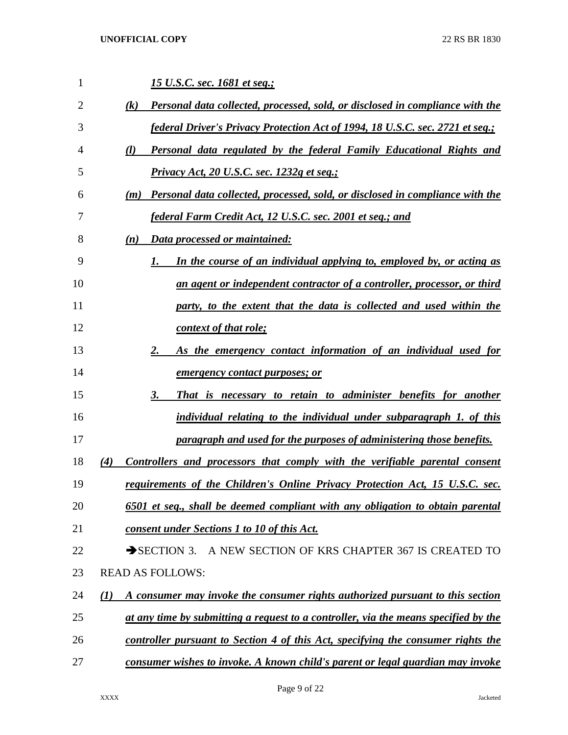| 1  | <u>15 U.S.C. sec. 1681 et seq.;</u>                                                                |
|----|----------------------------------------------------------------------------------------------------|
| 2  | Personal data collected, processed, sold, or disclosed in compliance with the<br>$\left( k\right)$ |
| 3  | <i>federal Driver's Privacy Protection Act of 1994, 18 U.S.C. sec. 2721 et seq.;</i>               |
| 4  | Personal data regulated by the federal Family Educational Rights and<br>(l)                        |
| 5  | <u>Privacy Act, 20 U.S.C. sec. 1232g et seq.;</u>                                                  |
| 6  | Personal data collected, processed, sold, or disclosed in compliance with the<br>(m)               |
| 7  | <u>federal Farm Credit Act, 12 U.S.C. sec. 2001 et seq.; and</u>                                   |
| 8  | Data processed or maintained:<br>(n)                                                               |
| 9  | In the course of an individual applying to, employed by, or acting as<br>1.                        |
| 10 | an agent or independent contractor of a controller, processor, or third                            |
| 11 | party, to the extent that the data is collected and used within the                                |
| 12 | context of that role;                                                                              |
| 13 | As the emergency contact information of an individual used for<br>2.                               |
| 14 | <u>emergency contact purposes; or</u>                                                              |
| 15 | That is necessary to retain to administer benefits for another<br>3.                               |
| 16 | individual relating to the individual under subparagraph 1. of this                                |
| 17 | paragraph and used for the purposes of administering those benefits.                               |
| 18 | Controllers and processors that comply with the verifiable parental consent<br>(4)                 |
| 19 | requirements of the Children's Online Privacy Protection Act, 15 U.S.C. sec.                       |
| 20 | 6501 et seq., shall be deemed compliant with any obligation to obtain parental                     |
| 21 | consent under Sections 1 to 10 of this Act.                                                        |
| 22 | A NEW SECTION OF KRS CHAPTER 367 IS CREATED TO<br>$\rightarrow$ SECTION 3.                         |
| 23 | <b>READ AS FOLLOWS:</b>                                                                            |
| 24 | A consumer may invoke the consumer rights authorized pursuant to this section<br>$\mathbf{U}$      |
| 25 | at any time by submitting a request to a controller, via the means specified by the                |
| 26 | controller pursuant to Section 4 of this Act, specifying the consumer rights the                   |
| 27 | consumer wishes to invoke. A known child's parent or legal guardian may invoke                     |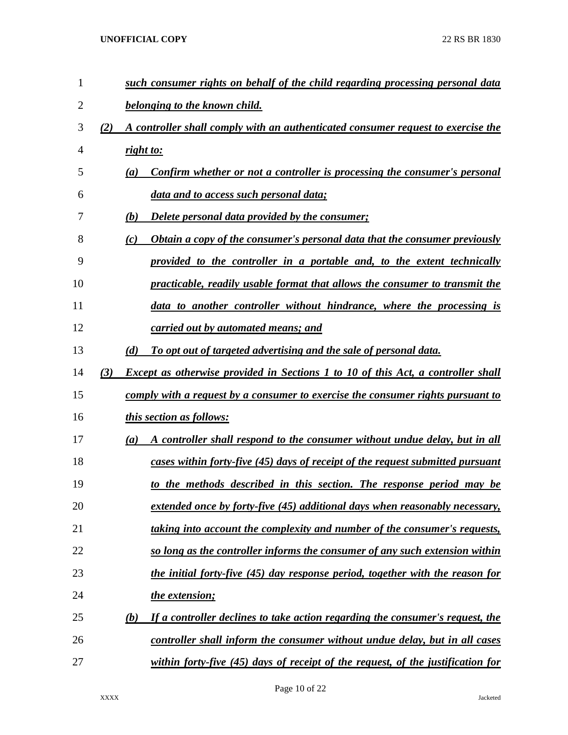| $\mathbf{1}$ |     |           | such consumer rights on behalf of the child regarding processing personal data          |
|--------------|-----|-----------|-----------------------------------------------------------------------------------------|
| 2            |     |           | belonging to the known child.                                                           |
| 3            | (2) |           | A controller shall comply with an authenticated consumer request to exercise the        |
| 4            |     | right to: |                                                                                         |
| 5            |     | (a)       | Confirm whether or not a controller is processing the consumer's personal               |
| 6            |     |           | data and to access such personal data;                                                  |
| 7            |     | (b)       | <b>Delete personal data provided by the consumer;</b>                                   |
| 8            |     | (c)       | <b>Obtain a copy of the consumer's personal data that the consumer previously</b>       |
| 9            |     |           | provided to the controller in a portable and, to the extent technically                 |
| 10           |     |           | practicable, readily usable format that allows the consumer to transmit the             |
| 11           |     |           | data to another controller without hindrance, where the processing is                   |
| 12           |     |           | carried out by automated means; and                                                     |
| 13           |     | (d)       | To opt out of targeted advertising and the sale of personal data.                       |
| 14           | (3) |           | <b>Except as otherwise provided in Sections 1 to 10 of this Act, a controller shall</b> |
| 15           |     |           | comply with a request by a consumer to exercise the consumer rights pursuant to         |
| 16           |     |           | <i>this section as follows:</i>                                                         |
| 17           |     | (a)       | A controller shall respond to the consumer without undue delay, but in all              |
| 18           |     |           | cases within forty-five (45) days of receipt of the request submitted pursuant          |
| 19           |     |           | to the methods described in this section. The response period may be                    |
| 20           |     |           | extended once by forty-five (45) additional days when reasonably necessary,             |
| 21           |     |           | <u>taking into account the complexity and number of the consumer's requests,</u>        |
| 22           |     |           | so long as the controller informs the consumer of any such extension within             |
| 23           |     |           | the initial forty-five (45) day response period, together with the reason for           |
| 24           |     |           | the extension;                                                                          |
| 25           |     | (b)       | <u>If a controller declines to take action regarding the consumer's request, the</u>    |
| 26           |     |           | controller shall inform the consumer without undue delay, but in all cases              |
| 27           |     |           | within forty-five (45) days of receipt of the request, of the justification for         |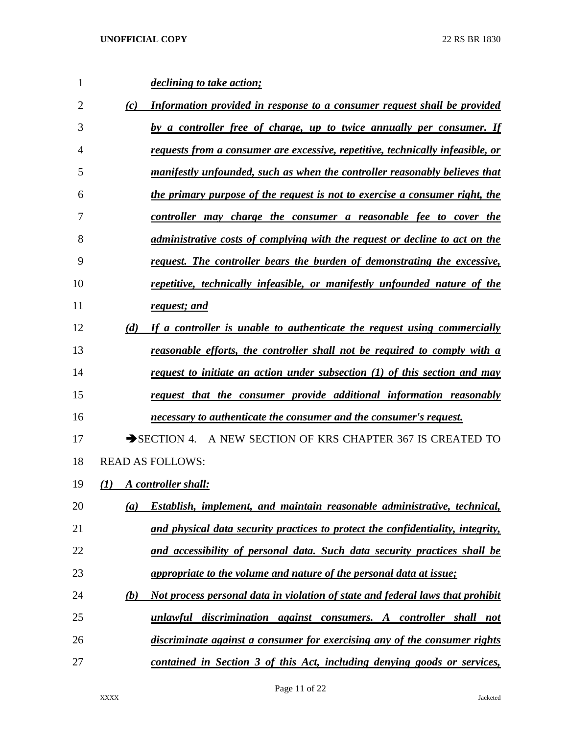| $\mathbf{1}$   |                  | <i>declining to take action;</i>                                                   |
|----------------|------------------|------------------------------------------------------------------------------------|
| $\overline{2}$ | (c)              | Information provided in response to a consumer request shall be provided           |
| 3              |                  | by a controller free of charge, up to twice annually per consumer. If              |
| 4              |                  | requests from a consumer are excessive, repetitive, technically infeasible, or     |
| 5              |                  | manifestly unfounded, such as when the controller reasonably believes that         |
| 6              |                  | the primary purpose of the request is not to exercise a consumer right, the        |
| 7              |                  | controller may charge the consumer a reasonable fee to cover the                   |
| 8              |                  | <i>administrative costs of complying with the request or decline to act on the</i> |
| 9              |                  | request. The controller bears the burden of demonstrating the excessive,           |
| 10             |                  | repetitive, technically infeasible, or manifestly unfounded nature of the          |
| 11             |                  | request; and                                                                       |
| 12             | (d)              | If a controller is unable to authenticate the request using commercially           |
| 13             |                  | reasonable efforts, the controller shall not be required to comply with a          |
| 14             |                  | request to initiate an action under subsection (1) of this section and may         |
| 15             |                  | request that the consumer provide additional information reasonably                |
| 16             |                  | necessary to authenticate the consumer and the consumer's request.                 |
| 17             |                  | SECTION 4. A NEW SECTION OF KRS CHAPTER 367 IS CREATED TO                          |
| 18             |                  | <b>READ AS FOLLOWS:</b>                                                            |
| 19             | $\mathcal{L}(I)$ | A controller shall:                                                                |
| 20             | (a)              | Establish, implement, and maintain reasonable administrative, technical,           |
| 21             |                  | and physical data security practices to protect the confidentiality, integrity,    |
| 22             |                  | <u>and accessibility of personal data. Such data security practices shall be</u>   |
| 23             |                  | appropriate to the volume and nature of the personal data at issue;                |
| 24             | <u>(b)</u>       | Not process personal data in violation of state and federal laws that prohibit     |
| 25             |                  | unlawful discrimination against consumers. A controller shall not                  |
| 26             |                  | discriminate against a consumer for exercising any of the consumer rights          |
| 27             |                  | contained in Section 3 of this Act, including denying goods or services,           |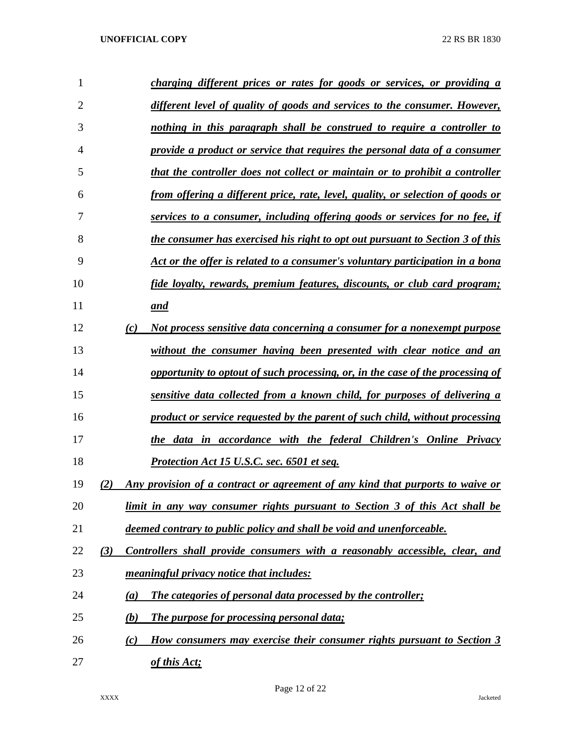| 1              | charging different prices or rates for goods or services, or providing a              |
|----------------|---------------------------------------------------------------------------------------|
| $\overline{2}$ | different level of quality of goods and services to the consumer. However,            |
| 3              | nothing in this paragraph shall be construed to require a controller to               |
| 4              | provide a product or service that requires the personal data of a consumer            |
| 5              | that the controller does not collect or maintain or to prohibit a controller          |
| 6              | from offering a different price, rate, level, quality, or selection of goods or       |
| 7              | services to a consumer, including offering goods or services for no fee, if           |
| 8              | the consumer has exercised his right to opt out pursuant to Section 3 of this         |
| 9              | Act or the offer is related to a consumer's voluntary participation in a bona         |
| 10             | fide loyalty, rewards, premium features, discounts, or club card program;             |
| 11             | and                                                                                   |
| 12             | Not process sensitive data concerning a consumer for a nonexempt purpose<br>(c)       |
| 13             | without the consumer having been presented with clear notice and an                   |
| 14             | opportunity to optout of such processing, or, in the case of the processing of        |
| 15             | sensitive data collected from a known child, for purposes of delivering a             |
| 16             | product or service requested by the parent of such child, without processing          |
| 17             | the data in accordance with the federal Children's Online Privacy                     |
| 18             | Protection Act 15 U.S.C. sec. 6501 et seq.                                            |
| 19             | Any provision of a contract or agreement of any kind that purports to waive or<br>(2) |
| 20             | <u>limit in any way consumer rights pursuant to Section 3 of this Act shall be</u>    |
| 21             | deemed contrary to public policy and shall be void and unenforceable.                 |
| 22             | Controllers shall provide consumers with a reasonably accessible, clear, and<br>(3)   |
| 23             | <i>meaningful privacy notice that includes:</i>                                       |
| 24             | The categories of personal data processed by the controller;<br>(a)                   |
| 25             | The purpose for processing personal data;<br>(b)                                      |
| 26             | How consumers may exercise their consumer rights pursuant to Section 3<br>(c)         |
| 27             | of this Act;                                                                          |

Page 12 of 22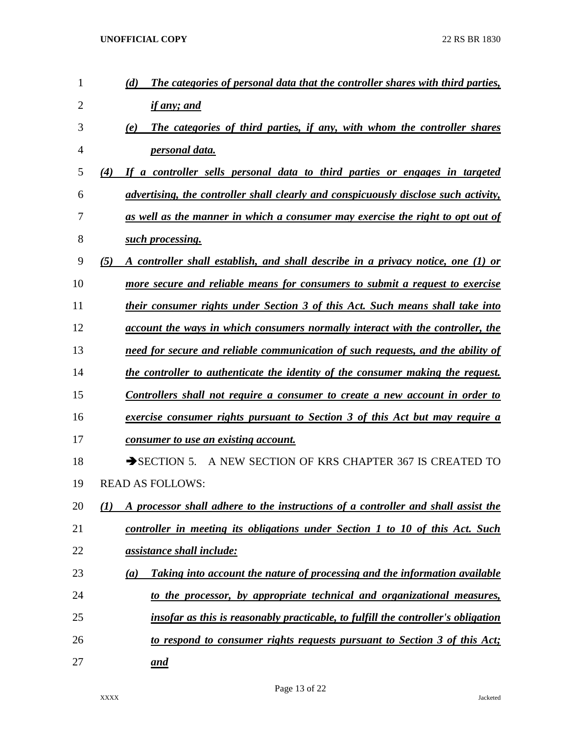| 1  | The categories of personal data that the controller shares with third parties,<br>(d)          |
|----|------------------------------------------------------------------------------------------------|
| 2  | if any; and                                                                                    |
| 3  | The categories of third parties, if any, with whom the controller shares<br>(e)                |
| 4  | <u>personal data.</u>                                                                          |
| 5  | If a controller sells personal data to third parties or engages in targeted<br>(4)             |
| 6  | advertising, the controller shall clearly and conspicuously disclose such activity,            |
| 7  | as well as the manner in which a consumer may exercise the right to opt out of                 |
| 8  | such processing.                                                                               |
| 9  | (5)<br>A controller shall establish, and shall describe in a privacy notice, one (1) or        |
| 10 | more secure and reliable means for consumers to submit a request to exercise                   |
| 11 | their consumer rights under Section 3 of this Act. Such means shall take into                  |
| 12 | <u>account the ways in which consumers normally interact with the controller, the</u>          |
| 13 | need for secure and reliable communication of such requests, and the ability of                |
| 14 | the controller to authenticate the identity of the consumer making the request.                |
| 15 | <u>Controllers shall not require a consumer to create a new account in order to</u>            |
| 16 | <u>exercise consumer rights pursuant to Section 3 of this Act but may require a</u>            |
| 17 | <u>consumer to use an existing account.</u>                                                    |
| 18 | A NEW SECTION OF KRS CHAPTER 367 IS CREATED TO<br>$\rightarrow$ SECTION 5.                     |
| 19 | <b>READ AS FOLLOWS:</b>                                                                        |
| 20 | A processor shall adhere to the instructions of a controller and shall assist the<br>(I)       |
| 21 | controller in meeting its obligations under Section 1 to 10 of this Act. Such                  |
| 22 | <u>assistance shall include:</u>                                                               |
| 23 | Taking into account the nature of processing and the information available<br>$\left(a\right)$ |
| 24 | to the processor, by appropriate technical and organizational measures,                        |
| 25 | insofar as this is reasonably practicable, to fulfill the controller's obligation              |
| 26 | to respond to consumer rights requests pursuant to Section 3 of this Act;                      |
| 27 | <u>and</u>                                                                                     |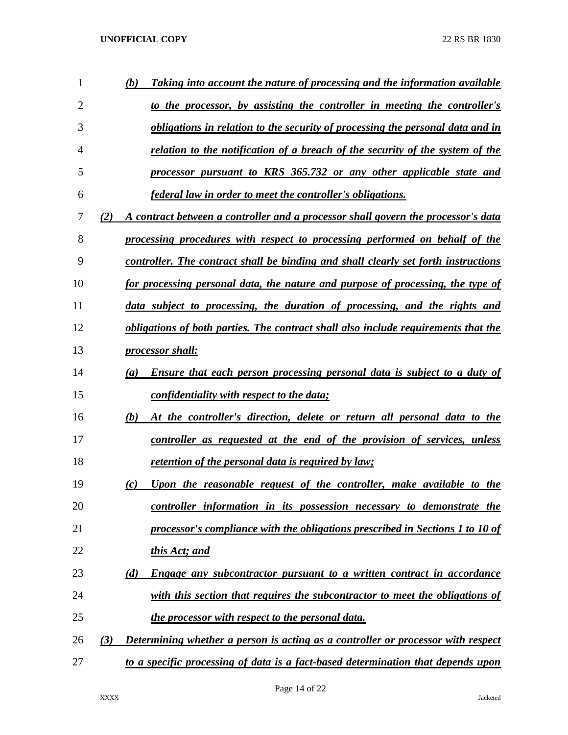| 1              | Taking into account the nature of processing and the information available<br>(b)        |
|----------------|------------------------------------------------------------------------------------------|
| $\overline{2}$ | to the processor, by assisting the controller in meeting the controller's                |
| 3              | obligations in relation to the security of processing the personal data and in           |
| 4              | relation to the notification of a breach of the security of the system of the            |
| 5              | processor pursuant to KRS 365.732 or any other applicable state and                      |
| 6              | <u>federal law in order to meet the controller's obligations.</u>                        |
| 7              | (2)<br>A contract between a controller and a processor shall govern the processor's data |
| 8              | processing procedures with respect to processing performed on behalf of the              |
| 9              | controller. The contract shall be binding and shall clearly set forth instructions       |
| 10             | for processing personal data, the nature and purpose of processing, the type of          |
| 11             | data subject to processing, the duration of processing, and the rights and               |
| 12             | obligations of both parties. The contract shall also include requirements that the       |
| 13             | <i>processor shall:</i>                                                                  |
| 14             | <b>Ensure that each person processing personal data is subject to a duty of</b><br>(a)   |
| 15             | confidentiality with respect to the data;                                                |
| 16             | (b)<br>At the controller's direction, delete or return all personal data to the          |
| 17             | controller as requested at the end of the provision of services, unless                  |
| 18             | <u>retention of the personal data is required by law;</u>                                |
| 19             | Upon the reasonable request of the controller, make available to the<br>(c)              |
| 20             | controller information in its possession necessary to demonstrate the                    |
| 21             | processor's compliance with the obligations prescribed in Sections 1 to 10 of            |
| 22             | this Act; and                                                                            |
| 23             | (d)<br>Engage any subcontractor pursuant to a written contract in accordance             |
| 24             | with this section that requires the subcontractor to meet the obligations of             |
| 25             | the processor with respect to the personal data.                                         |
| 26             | Determining whether a person is acting as a controller or processor with respect<br>(3)  |
| 27             | to a specific processing of data is a fact-based determination that depends upon         |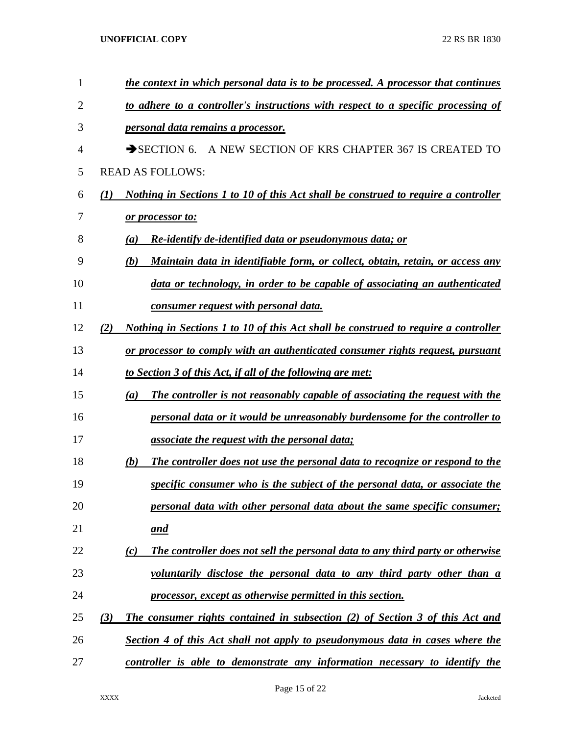| $\mathbf{1}$ | the context in which personal data is to be processed. A processor that continues           |
|--------------|---------------------------------------------------------------------------------------------|
| 2            | to adhere to a controller's instructions with respect to a specific processing of           |
| 3            | <i><u><b>personal data remains a processor.</b></u></i>                                     |
| 4            | $\rightarrow$ SECTION 6.<br>A NEW SECTION OF KRS CHAPTER 367 IS CREATED TO                  |
| 5            | <b>READ AS FOLLOWS:</b>                                                                     |
| 6            | Nothing in Sections 1 to 10 of this Act shall be construed to require a controller<br>(1)   |
| 7            | or processor to:                                                                            |
| 8            | <b>Re-identify de-identified data or pseudonymous data; or</b><br>(a)                       |
| 9            | (b)<br><u>Maintain data in identifiable form, or collect, obtain, retain, or access any</u> |
| 10           | data or technology, in order to be capable of associating an authenticated                  |
| 11           | <u>consumer request with personal data.</u>                                                 |
| 12           | (2)<br>Nothing in Sections 1 to 10 of this Act shall be construed to require a controller   |
| 13           | or processor to comply with an authenticated consumer rights request, pursuant              |
| 14           | <u>to Section 3 of this Act, if all of the following are met:</u>                           |
| 15           | The controller is not reasonably capable of associating the request with the<br>(a)         |
| 16           | personal data or it would be unreasonably burdensome for the controller to                  |
| 17           | associate the request with the personal data;                                               |
| 18           | (b)<br>The controller does not use the personal data to recognize or respond to the         |
| 19           | specific consumer who is the subject of the personal data, or associate the                 |
| 20           | personal data with other personal data about the same specific consumer;                    |
| 21           | <u>and</u>                                                                                  |
| 22           | The controller does not sell the personal data to any third party or otherwise<br>(c)       |
| 23           | voluntarily disclose the personal data to any third party other than a                      |
| 24           | processor, except as otherwise permitted in this section.                                   |
| 25           | <b>The consumer rights contained in subsection (2) of Section 3 of this Act and</b><br>(3)  |
| 26           | <b>Section 4 of this Act shall not apply to pseudonymous data in cases where the</b>        |
| 27           | controller is able to demonstrate any information necessary to identify the                 |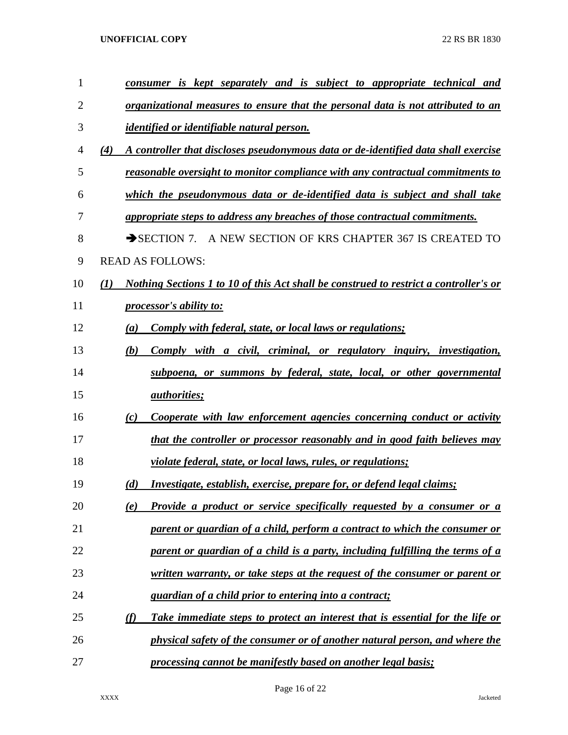| 1  | <u>consumer is kept separately and is subject to appropriate technical and</u>               |
|----|----------------------------------------------------------------------------------------------|
| 2  | <u>organizational measures to ensure that the personal data is not attributed to an</u>      |
| 3  | <i>identified or identifiable natural person.</i>                                            |
| 4  | A controller that discloses pseudonymous data or de-identified data shall exercise<br>(4)    |
| 5  | reasonable oversight to monitor compliance with any contractual commitments to               |
| 6  | which the pseudonymous data or de-identified data is subject and shall take                  |
| 7  | appropriate steps to address any breaches of those contractual commitments.                  |
| 8  | SECTION 7. A NEW SECTION OF KRS CHAPTER 367 IS CREATED TO                                    |
| 9  | <b>READ AS FOLLOWS:</b>                                                                      |
| 10 | Nothing Sections 1 to 10 of this Act shall be construed to restrict a controller's or<br>(1) |
| 11 | processor's ability to:                                                                      |
| 12 | Comply with federal, state, or local laws or regulations;<br>$\left(a\right)$                |
| 13 | Comply with a civil, criminal, or regulatory inquiry, investigation,<br>(b)                  |
| 14 | subpoena, or summons by federal, state, local, or other governmental                         |
| 15 | <i>authorities;</i>                                                                          |
| 16 | Cooperate with law enforcement agencies concerning conduct or activity<br>(c)                |
| 17 | that the controller or processor reasonably and in good faith believes may                   |
| 18 | <i>violate federal, state, or local laws, rules, or regulations;</i>                         |
| 19 | Investigate, establish, exercise, prepare for, or defend legal claims;<br>(d)                |
| 20 | Provide a product or service specifically requested by a consumer or a<br>(e)                |
| 21 | parent or guardian of a child, perform a contract to which the consumer or                   |
| 22 | parent or guardian of a child is a party, including fulfilling the terms of a                |
| 23 | written warranty, or take steps at the request of the consumer or parent or                  |
| 24 | guardian of a child prior to entering into a contract;                                       |
| 25 | (f)<br>Take immediate steps to protect an interest that is essential for the life or         |
| 26 | physical safety of the consumer or of another natural person, and where the                  |
| 27 | processing cannot be manifestly based on another legal basis;                                |

Page 16 of 22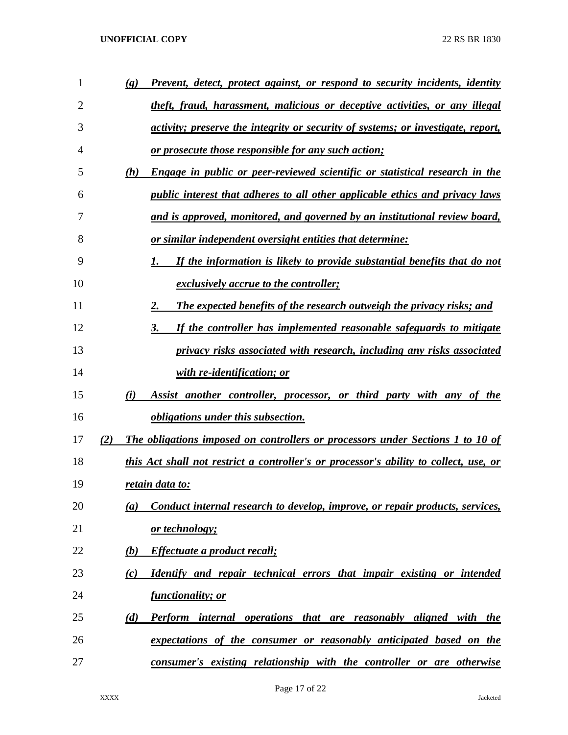| 1  |     | Prevent, detect, protect against, or respond to security incidents, identity<br>$\left( \mathbf{g} \right)$ |
|----|-----|-------------------------------------------------------------------------------------------------------------|
| 2  |     | theft, fraud, harassment, malicious or deceptive activities, or any illegal                                 |
| 3  |     | <i>activity; preserve the integrity or security of systems; or investigate, report,</i>                     |
| 4  |     | <u>or prosecute those responsible for any such action;</u>                                                  |
| 5  |     | Engage in public or peer-reviewed scientific or statistical research in the<br>(h)                          |
| 6  |     | public interest that adheres to all other applicable ethics and privacy laws                                |
| 7  |     | and is approved, monitored, and governed by an institutional review board,                                  |
| 8  |     | <u>or similar independent oversight entities that determine:</u>                                            |
| 9  |     | If the information is likely to provide substantial benefits that do not<br>1.                              |
| 10 |     | <i>exclusively accrue to the controller;</i>                                                                |
| 11 |     | The expected benefits of the research outweigh the privacy risks; and<br>2.                                 |
| 12 |     | If the controller has implemented reasonable safeguards to mitigate<br>3.                                   |
| 13 |     | privacy risks associated with research, including any risks associated                                      |
| 14 |     | with re-identification; or                                                                                  |
| 15 |     | (i)<br>Assist another controller, processor, or third party with any of the                                 |
| 16 |     | <i>obligations under this subsection.</i>                                                                   |
| 17 | (2) | <b>The obligations imposed on controllers or processors under Sections 1 to 10 of</b>                       |
| 18 |     | this Act shall not restrict a controller's or processor's ability to collect, use, or                       |
| 19 |     | retain data to:                                                                                             |
| 20 |     | Conduct internal research to develop, improve, or repair products, services,<br>(a)                         |
| 21 |     | or technology;                                                                                              |
| 22 |     | Effectuate a product recall;<br>(b)                                                                         |
| 23 |     | Identify and repair technical errors that impair existing or intended<br>(c)                                |
| 24 |     | <u>functionality; or</u>                                                                                    |
| 25 |     | (d)<br><b>Perform internal operations that are reasonably aligned with the</b>                              |
| 26 |     | expectations of the consumer or reasonably anticipated based on the                                         |
| 27 |     | consumer's existing relationship with the controller or are otherwise                                       |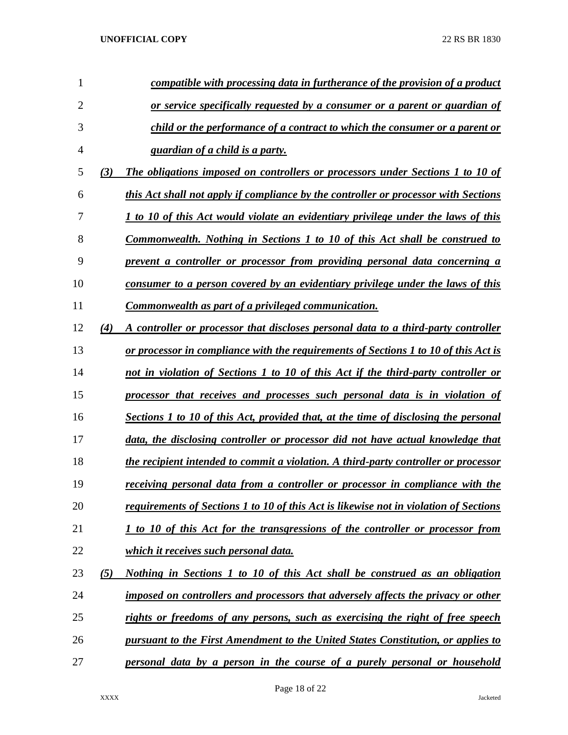| 1              |     | compatible with processing data in furtherance of the provision of a product          |
|----------------|-----|---------------------------------------------------------------------------------------|
| $\overline{2}$ |     | or service specifically requested by a consumer or a parent or guardian of            |
| 3              |     | child or the performance of a contract to which the consumer or a parent or           |
| 4              |     | guardian of a child is a party.                                                       |
| 5              | (3) | The obligations imposed on controllers or processors under Sections 1 to 10 of        |
| 6              |     | this Act shall not apply if compliance by the controller or processor with Sections   |
| 7              |     | 1 to 10 of this Act would violate an evidentiary privilege under the laws of this     |
| 8              |     | <b>Commonwealth.</b> Nothing in Sections 1 to 10 of this Act shall be construed to    |
| 9              |     | prevent a controller or processor from providing personal data concerning a           |
| 10             |     | consumer to a person covered by an evidentiary privilege under the laws of this       |
| 11             |     | Commonwealth as part of a privileged communication.                                   |
| 12             | (4) | A controller or processor that discloses personal data to a third-party controller    |
| 13             |     | or processor in compliance with the requirements of Sections 1 to 10 of this Act is   |
| 14             |     | not in violation of Sections 1 to 10 of this Act if the third-party controller or     |
| 15             |     | processor that receives and processes such personal data is in violation of           |
| 16             |     | Sections 1 to 10 of this Act, provided that, at the time of disclosing the personal   |
| 17             |     | data, the disclosing controller or processor did not have actual knowledge that       |
| 18             |     | the recipient intended to commit a violation. A third-party controller or processor   |
| 19             |     | receiving personal data from a controller or processor in compliance with the         |
| 20             |     | requirements of Sections 1 to 10 of this Act is likewise not in violation of Sections |
| 21             |     | 1 to 10 of this Act for the transgressions of the controller or processor from        |
| 22             |     | which it receives such personal data.                                                 |
| 23             | (5) | Nothing in Sections 1 to 10 of this Act shall be construed as an obligation           |
| 24             |     | imposed on controllers and processors that adversely affects the privacy or other     |
| 25             |     | rights or freedoms of any persons, such as exercising the right of free speech        |
| 26             |     | pursuant to the First Amendment to the United States Constitution, or applies to      |
| 27             |     | personal data by a person in the course of a purely personal or household             |
|                |     |                                                                                       |

Page 18 of 22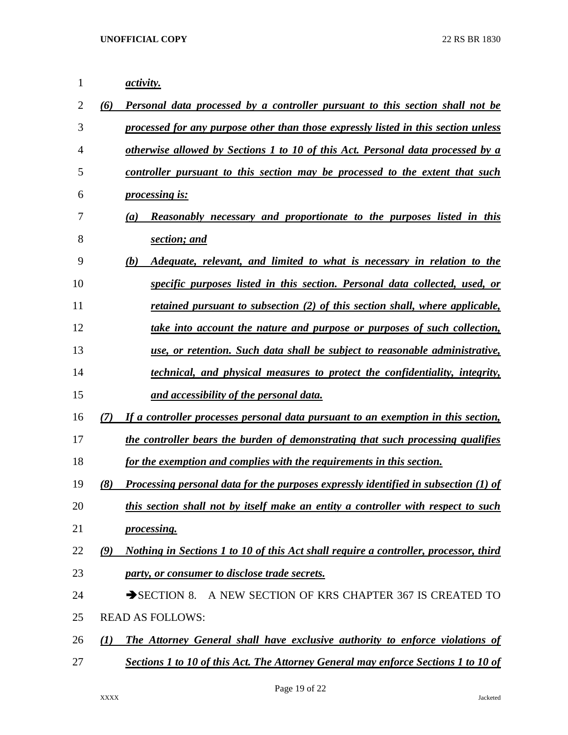| $\mathbf{1}$ | <i>activity.</i>                                                                            |  |
|--------------|---------------------------------------------------------------------------------------------|--|
| 2            | Personal data processed by a controller pursuant to this section shall not be<br>(6)        |  |
| 3            | processed for any purpose other than those expressly listed in this section unless          |  |
| 4            | otherwise allowed by Sections 1 to 10 of this Act. Personal data processed by a             |  |
| 5            | controller pursuant to this section may be processed to the extent that such                |  |
| 6            | <i>processing is:</i>                                                                       |  |
| 7            | <b>Reasonably necessary and proportionate to the purposes listed in this</b><br>(a)         |  |
| 8            | section; and                                                                                |  |
| 9            | Adequate, relevant, and limited to what is necessary in relation to the<br>(b)              |  |
| 10           | specific purposes listed in this section. Personal data collected, used, or                 |  |
| 11           | retained pursuant to subsection (2) of this section shall, where applicable,                |  |
| 12           | take into account the nature and purpose or purposes of such collection,                    |  |
| 13           | use, or retention. Such data shall be subject to reasonable administrative,                 |  |
| 14           | <i>dechnical, and physical measures to protect the confidentiality, integrity,</i>          |  |
| 15           | and accessibility of the personal data.                                                     |  |
| 16           | (7)<br>If a controller processes personal data pursuant to an exemption in this section,    |  |
| 17           | the controller bears the burden of demonstrating that such processing qualifies             |  |
| 18           | for the exemption and complies with the requirements in this section.                       |  |
| 19           | (8)<br>Processing personal data for the purposes expressly identified in subsection (1) of  |  |
| 20           | this section shall not by itself make an entity a controller with respect to such           |  |
| 21           | processing.                                                                                 |  |
| 22           | Nothing in Sections 1 to 10 of this Act shall require a controller, processor, third<br>(9) |  |
| 23           | party, or consumer to disclose trade secrets.                                               |  |
| 24           | A NEW SECTION OF KRS CHAPTER 367 IS CREATED TO<br>$\rightarrow$ SECTION 8.                  |  |
| 25           | <b>READ AS FOLLOWS:</b>                                                                     |  |
| 26           | <b>The Attorney General shall have exclusive authority to enforce violations of</b><br>(I)  |  |
| 27           | Sections 1 to 10 of this Act. The Attorney General may enforce Sections 1 to 10 of          |  |

Page 19 of 22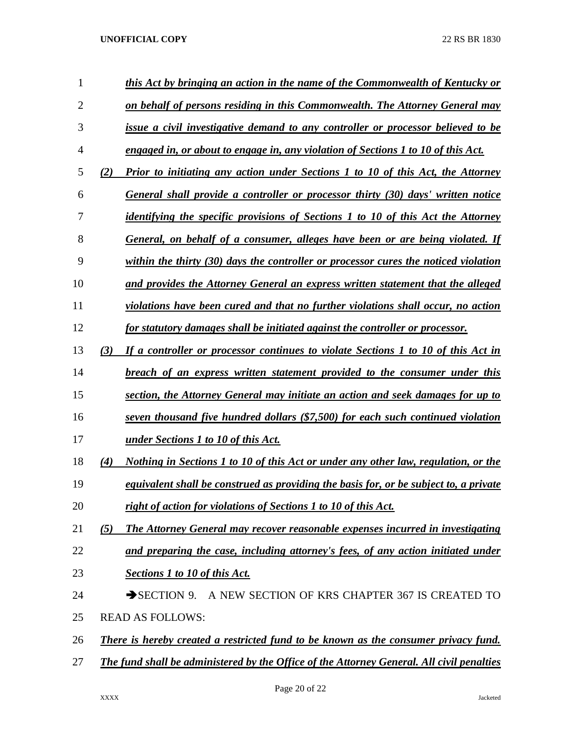| 1              |     | this Act by bringing an action in the name of the Commonwealth of Kentucky or              |
|----------------|-----|--------------------------------------------------------------------------------------------|
| $\overline{2}$ |     | on behalf of persons residing in this Commonwealth. The Attorney General may               |
| 3              |     | issue a civil investigative demand to any controller or processor believed to be           |
| 4              |     | engaged in, or about to engage in, any violation of Sections 1 to 10 of this Act.          |
| 5              | (2) | <b>Prior to initiating any action under Sections 1 to 10 of this Act, the Attorney</b>     |
| 6              |     | General shall provide a controller or processor thirty (30) days' written notice           |
| 7              |     | identifying the specific provisions of Sections 1 to 10 of this Act the Attorney           |
| 8              |     | General, on behalf of a consumer, alleges have been or are being violated. If              |
| 9              |     | within the thirty $(30)$ days the controller or processor cures the noticed violation      |
| 10             |     | and provides the Attorney General an express written statement that the alleged            |
| 11             |     | violations have been cured and that no further violations shall occur, no action           |
| 12             |     | for statutory damages shall be initiated against the controller or processor.              |
| 13             | (3) | If a controller or processor continues to violate Sections 1 to 10 of this Act in          |
| 14             |     | breach of an express written statement provided to the consumer under this                 |
| 15             |     | section, the Attorney General may initiate an action and seek damages for up to            |
| 16             |     | seven thousand five hundred dollars (\$7,500) for each such continued violation            |
| 17             |     | <u>under Sections 1 to 10 of this Act.</u>                                                 |
| 18             | (4) | Nothing in Sections 1 to 10 of this Act or under any other law, regulation, or the         |
| 19             |     | equivalent shall be construed as providing the basis for, or be subject to, a private      |
| 20             |     | right of action for violations of Sections 1 to 10 of this Act.                            |
| 21             | (5) | The Attorney General may recover reasonable expenses incurred in investigating             |
| 22             |     | and preparing the case, including attorney's fees, of any action initiated under           |
| 23             |     | <b>Sections 1 to 10 of this Act.</b>                                                       |
| 24             |     | SECTION 9. A NEW SECTION OF KRS CHAPTER 367 IS CREATED TO                                  |
| 25             |     | <b>READ AS FOLLOWS:</b>                                                                    |
| 26             |     | <b>There is hereby created a restricted fund to be known as the consumer privacy fund.</b> |
| 27             |     | The fund shall be administered by the Office of the Attorney General. All civil penalties  |
|                |     |                                                                                            |

Page 20 of 22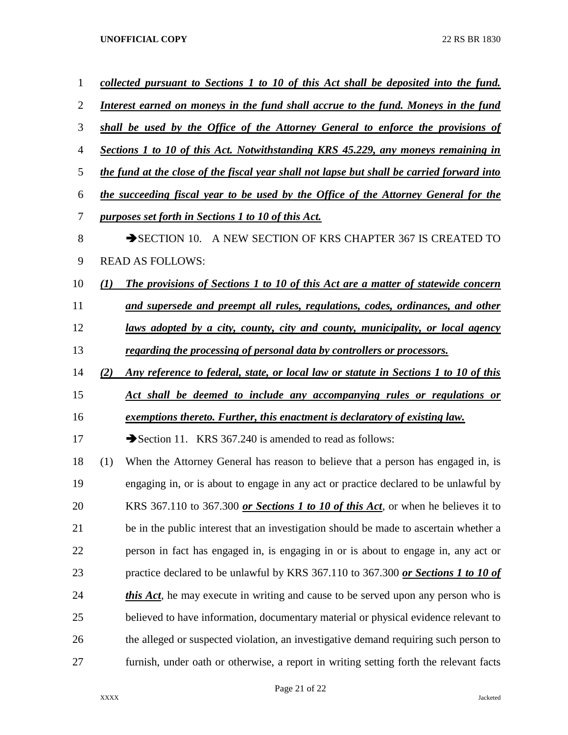| $\mathbf{1}$   |     | collected pursuant to Sections 1 to 10 of this Act shall be deposited into the fund.       |
|----------------|-----|--------------------------------------------------------------------------------------------|
| $\overline{2}$ |     | Interest earned on moneys in the fund shall accrue to the fund. Moneys in the fund         |
| 3              |     | shall be used by the Office of the Attorney General to enforce the provisions of           |
| $\overline{4}$ |     | Sections 1 to 10 of this Act. Notwithstanding KRS 45.229, any moneys remaining in          |
| 5              |     | the fund at the close of the fiscal year shall not lapse but shall be carried forward into |
| 6              |     | the succeeding fiscal year to be used by the Office of the Attorney General for the        |
| 7              |     | purposes set forth in Sections 1 to 10 of this Act.                                        |
| 8              |     | SECTION 10. A NEW SECTION OF KRS CHAPTER 367 IS CREATED TO                                 |
| 9              |     | <b>READ AS FOLLOWS:</b>                                                                    |
| 10             | (I) | <b>The provisions of Sections 1 to 10 of this Act are a matter of statewide concern</b>    |
| 11             |     | and supersede and preempt all rules, regulations, codes, ordinances, and other             |
| 12             |     | <u>laws adopted by a city, county, city and county, municipality, or local agency</u>      |
| 13             |     | regarding the processing of personal data by controllers or processors.                    |
| 14             | (2) | Any reference to federal, state, or local law or statute in Sections 1 to 10 of this       |
| 15             |     | Act shall be deemed to include any accompanying rules or regulations or                    |
| 16             |     | exemptions thereto. Further, this enactment is declaratory of existing law.                |
| 17             |     | Section 11. KRS 367.240 is amended to read as follows:                                     |
| 18             | (1) | When the Attorney General has reason to believe that a person has engaged in, is           |
| 19             |     | engaging in, or is about to engage in any act or practice declared to be unlawful by       |
| 20             |     | KRS 367.110 to 367.300 or Sections 1 to 10 of this Act, or when he believes it to          |
| 21             |     | be in the public interest that an investigation should be made to ascertain whether a      |
| 22             |     | person in fact has engaged in, is engaging in or is about to engage in, any act or         |
| 23             |     | practice declared to be unlawful by KRS 367.110 to 367.300 or Sections 1 to 10 of          |
| 24             |     | <i>this Act</i> , he may execute in writing and cause to be served upon any person who is  |
| 25             |     | believed to have information, documentary material or physical evidence relevant to        |
| 26             |     | the alleged or suspected violation, an investigative demand requiring such person to       |
| 27             |     | furnish, under oath or otherwise, a report in writing setting forth the relevant facts     |

Page 21 of 22